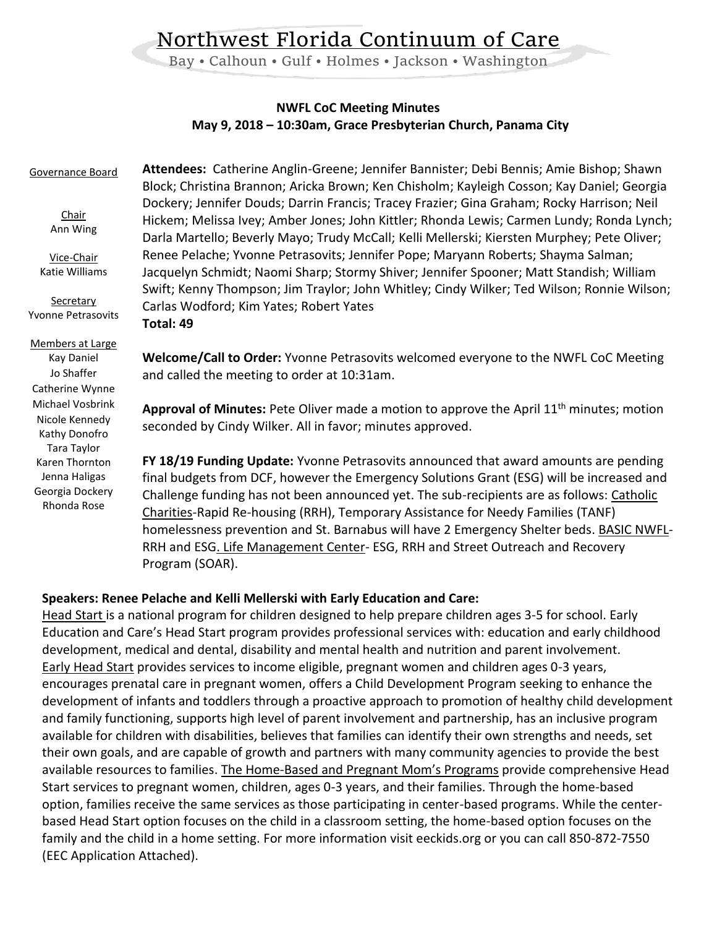# Northwest Florida Continuum of Care

Bay • Calhoun • Gulf • Holmes • Jackson • Washington

## **NWFL CoC Meeting Minutes May 9, 2018 – 10:30am, Grace Presbyterian Church, Panama City**

#### **Attendees:** Catherine Anglin-Greene; Jennifer Bannister; Debi Bennis; Amie Bishop; Shawn Block; Christina Brannon; Aricka Brown; Ken Chisholm; Kayleigh Cosson; Kay Daniel; Georgia Dockery; Jennifer Douds; Darrin Francis; Tracey Frazier; Gina Graham; Rocky Harrison; Neil Hickem; Melissa Ivey; Amber Jones; John Kittler; Rhonda Lewis; Carmen Lundy; Ronda Lynch; Darla Martello; Beverly Mayo; Trudy McCall; Kelli Mellerski; Kiersten Murphey; Pete Oliver; Renee Pelache; Yvonne Petrasovits; Jennifer Pope; Maryann Roberts; Shayma Salman; Jacquelyn Schmidt; Naomi Sharp; Stormy Shiver; Jennifer Spooner; Matt Standish; William Swift; Kenny Thompson; Jim Traylor; John Whitley; Cindy Wilker; Ted Wilson; Ronnie Wilson; Carlas Wodford; Kim Yates; Robert Yates **Total: 49 Welcome/Call to Order:** Yvonne Petrasovits welcomed everyone to the NWFL CoC Meeting and called the meeting to order at 10:31am. **Approval of Minutes:** Pete Oliver made a motion to approve the April 11th minutes; motion seconded by Cindy Wilker. All in favor; minutes approved. **FY 18/19 Funding Update:** Yvonne Petrasovits announced that award amounts are pending final budgets from DCF, however the Emergency Solutions Grant (ESG) will be increased and Challenge funding has not been announced yet. The sub-recipients are as follows: Catholic Charities-Rapid Re-housing (RRH), Temporary Assistance for Needy Families (TANF) homelessness prevention and St. Barnabus will have 2 Emergency Shelter beds. BASIC NWFL-RRH and ESG. Life Management Center- ESG, RRH and Street Outreach and Recovery Program (SOAR). Governance Board Chair Ann Wing Vice-Chair Katie Williams **Secretary** Yvonne Petrasovits Members at Large Kay Daniel Jo Shaffer Catherine Wynne Michael Vosbrink Nicole Kennedy Kathy Donofro Tara Taylor Karen Thornton Jenna Haligas Georgia Dockery Rhonda Rose

## **Speakers: Renee Pelache and Kelli Mellerski with Early Education and Care:**

Head Start is a national program for children designed to help prepare children ages 3-5 for school. Early Education and Care's Head Start program provides professional services with: education and early childhood development, medical and dental, disability and mental health and nutrition and parent involvement. Early Head Start provides services to income eligible, pregnant women and children ages 0-3 years, encourages prenatal care in pregnant women, offers a Child Development Program seeking to enhance the development of infants and toddlers through a proactive approach to promotion of healthy child development and family functioning, supports high level of parent involvement and partnership, has an inclusive program available for children with disabilities, believes that families can identify their own strengths and needs, set their own goals, and are capable of growth and partners with many community agencies to provide the best available resources to families. The Home-Based and Pregnant Mom's Programs provide comprehensive Head Start services to pregnant women, children, ages 0-3 years, and their families. Through the home-based option, families receive the same services as those participating in center-based programs. While the centerbased Head Start option focuses on the child in a classroom setting, the home-based option focuses on the family and the child in a home setting. For more information visit eeckids.org or you can call 850-872-7550 (EEC Application Attached).